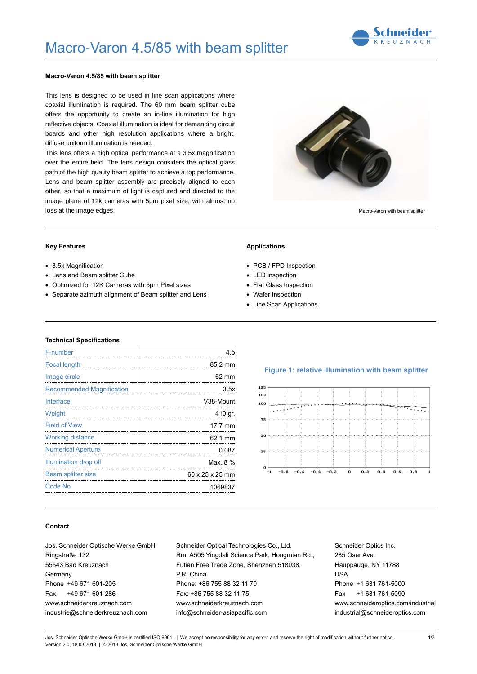

### **Macro-Varon 4.5/85 with beam splitter**

This lens is designed to be used in line scan applications where coaxial illumination is required. The 60 mm beam splitter cube offers the opportunity to create an in-line illumination for high reflective objects. Coaxial illumination is ideal for demanding circuit boards and other high resolution applications where a bright, diffuse uniform illumination is needed.

This lens offers a high optical performance at a 3.5x magnification over the entire field. The lens design considers the optical glass path of the high quality beam splitter to achieve a top performance. Lens and beam splitter assembly are precisely aligned to each other, so that a maximum of light is captured and directed to the image plane of 12k cameras with 5µm pixel size, with almost no loss at the image edges.



Macro-Varon with beam splitter

### **Key Features**

- 3.5x Magnification
- Lens and Beam splitter Cube
- Optimized for 12K Cameras with 5µm Pixel sizes
- Separate azimuth alignment of Beam splitter and Lens

#### **Applications**

- PCB / FPD Inspection
- LED inspection
- Flat Glass Inspection
- Wafer Inspection
- Line Scan Applications

### **Technical Specifications**

| F-number                                           | 4.5                                              |
|----------------------------------------------------|--------------------------------------------------|
| <b>Focal length</b><br>--------------------------- | 85.2 mm<br>------------------------------------- |
| Image circle                                       | 62 mm                                            |
| <b>Recommended Magnification</b>                   | 3.5x                                             |
| Interface                                          | V38-Mount                                        |
| Weight                                             | 410 gr.                                          |
| <b>Field of View</b>                               | 17.7 mm                                          |
| <b>Working distance</b>                            | 62.1 mm                                          |
| <b>Numerical Aperture</b>                          | 0.087                                            |
| Illumination drop off                              | Max. 8 %                                         |
| Beam splitter size                                 | 60 x 25 x 25 mm                                  |
| Code No.                                           | 1069837                                          |
|                                                    |                                                  |

#### **Figure 1: relative illumination with beam splitter**



### **Contact**

Jos. Schneider Optische Werke GmbH Ringstraße 132 55543 Bad Kreuznach **Germany** Phone +49 671 601-205 Fax +49 671 601-286 www.schneiderkreuznach.com industrie@schneiderkreuznach.com

Schneider Optical Technologies Co., Ltd. Rm. A505 Yingdali Science Park, Hongmian Rd., Futian Free Trade Zone, Shenzhen 518038, P.R. China Phone: +86 755 88 32 11 70 Fax: +86 755 88 32 11 75 www.schneiderkreuznach.com info@schneider-asiapacific.com

Schneider Optics Inc. 285 Oser Ave. Hauppauge, NY 11788 USA Phone +1 631 761-5000 Fax +1 631 761-5090 www.schneideroptics.com/industrial industrial@schneideroptics.com

Jos. Schneider Optische Werke GmbH is certified ISO 9001. | We accept no responsibility for any errors and reserve the right of modification without further notice. Version 2.0, 18.03.2013 | © 2013 Jos. Schneider Optische Werke GmbH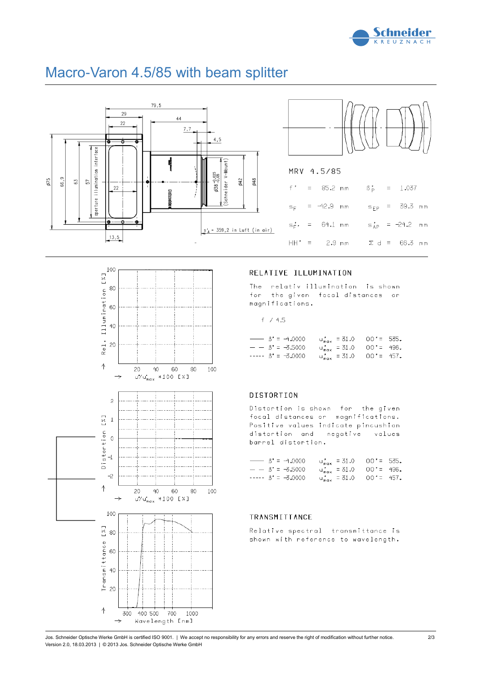



# Macro-Varon 4.5/85 with beam splitter





## RELATIVE ILLUMINATION

The relativ illumination is shown for the given focal distances or magnifications.

 $f / 4.5$ 

|  | $\rightarrow$ $\beta' = -4.0000$ |  | $u_{max}^* = 31.0$ 00'= 535. |  |
|--|----------------------------------|--|------------------------------|--|
|  | $- - B' = -3,5000$               |  | $u_{max}$ = 31.0 00'= 496.   |  |
|  | $-- \beta' = -3.0000$            |  | $u_{max}$ = 31.0 00'= 457.   |  |

### **DISTORTION**

Distortion is shown for the given focal distances or magnifications. Positive values indicate pincushion distortion and negative values barrel distortion,

| $\rightarrow$ $\beta' = -4.0000$ | $u_{max}$ = 31.0 00'= 535.                       |  |
|----------------------------------|--------------------------------------------------|--|
| $- - 15' = -5.5000$              | $u_{max}$ = 31.0 00'= 496.                       |  |
| $-- \beta' = -3.0000$            | $u_{\text{max}}^* = 31.0$ 00 <sup>*</sup> = 457. |  |

### TRANSMITTANCE

Relative spectral transmittance is shown with reference to wavelength.